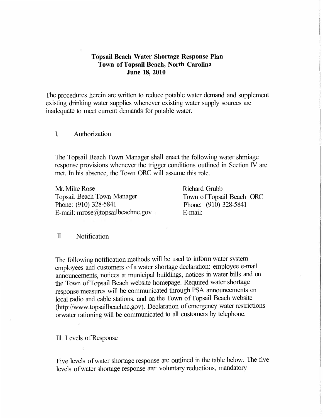### **Topsail Beach Water Shortage Response Plan Town of Topsail Beach, North Carolina June 18, 2010**

The procedures herein are written to reduce potable water demand and supplement existing drinking water supplies whenever existing water supply sources are inadequate to meet current demands for potable water.

### I. Authorization

The Topsail Beach Town Manager shall enact the following water shmiage response provisions whenever the trigger conditions outlined in Section IV are met. In his absence, the Town ORC will assume this role.

Mr. Mike Rose Topsail Beach Town Manager Phone: (910) 328-5841 E-mail: mrose@topsailbeachnc.gov

Richard Grubb Town of Topsail Beach ORC Phone: (910) 328-5841 E-mail:

#### II Notification

The following notification methods will be used to inform water system employees and customers of a water shortage declaration: employee e-mail announcements, notices at municipal buildings, notices in water bills and on the Town ofTopsail Beach website homepage. Required water shortage response measures will be communicated through PSA announcements on local radio and cable stations, and on the Town of Topsail Beach website (http://www.topsailbeachnc.gov). Declaration of emergency water restrictions or water rationing will be communicated to all customers by telephone.

Ill. Levels ofResponse

Five levels ofwater shortage response are outlined in the table below. The five levels ofwater shortage response are: voluntary reductions, mandatory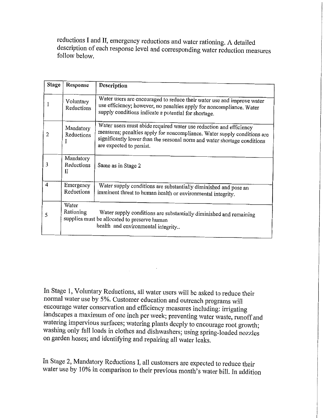reductions I and II, emergency reductions and water rationing. A detailed description of each response level and corresponding water reduction measures follow below.

| <b>Stage</b>   | Response                     | Description                                                                                                                                                                                                                                            |  |  |
|----------------|------------------------------|--------------------------------------------------------------------------------------------------------------------------------------------------------------------------------------------------------------------------------------------------------|--|--|
|                | Voluntary<br>Reductions      | Water users are encouraged to reduce their water use and improve water<br>use efficiency; however, no penalties apply for noncompliance. Water<br>supply conditions indicate a potential for shortage.                                                 |  |  |
| $\overline{2}$ | Mandatory<br>Reductions<br>I | Water users must abide required water use reduction and efficiency<br>measures; penalties apply for noncompliance. Water supply conditions are<br>significantly lower than the seasonal norm and water shortage conditions<br>are expected to persist. |  |  |
| 3              | Mandatory<br>Reductions<br>Π | Same as in Stage 2                                                                                                                                                                                                                                     |  |  |
| 4              | Emergency<br>Reductions      | Water supply conditions are substantially diminished and pose an<br>imminent threat to human health or environmental integrity.                                                                                                                        |  |  |
| 5              | Water<br>Rationing           | Water supply conditions are substantially diminished and remaining<br>supplies must be allocated to preserve human<br>health and environmental integrity                                                                                               |  |  |

In Stage 1, Voluntary Reductions, all water users will be asked to reduce their normal water use by 5%. Customer education and outreach programs will encourage water conservation and efficiency measures including: irrigating landscapes a maximum of one inch per week; preventing water waste, runoff and watering impervious surfaces; watering plants deeply to encourage root growth; washing only full loads in clothes and dishwashers; using spring-loaded nozzles on garden hoses; and identifying and repairing all water leaks.

In Stage 2, Mandatory Reductions I, all customers are expected to reduce their water use by 10% in comparison to their previous month's water bill. In addition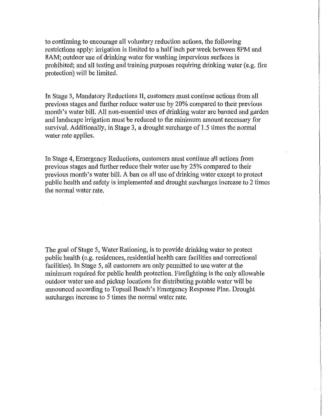to continuing to encourage all voluntary reduction actions, the following restrictions apply: irrigation is limited to a half inch per week between 8PM and 8AM; outdoor use of drinking water for washing impervious surfaces is prohibited; and all testing and training purposes requiring drinking water (e.g. fire protection) will be limited.

In Stage 3, Mandatory Reductions II, customers must continue actions from all previous stages and further reduce water use by 20% compared to their previous month's water bill. All non-essential uses of drinking water are banned and garden and landscape irrigation must be reduced to the minimum amount necessary for survival. Additionally, in Stage 3, a drought surcharge of 1.5 times the normal water rate applies.

In Stage 4, Emergency Reductions, customers must continue all actions from previous stages and further reduce their water use by 25% compared to their previous month's water bill. A ban on all use of drinking water except to protect public health and safety is implemented and drought surcharges increase to 2 times the normal water rate.

The goal of Stage 5, Water Rationing, is to provide drinking water to protect public health (e.g. residences, residential health care facilities and correctional facilities). In Stage 5, all customers are only permitted to use water at the minimum required for public health protection. Firefighting is the only allowable outdoor water use and pickup locations for distributing potable water will be announced according to Topsail Beach's Emergency Response Plan. Drought surcharges increase to 5 times the normal water rate.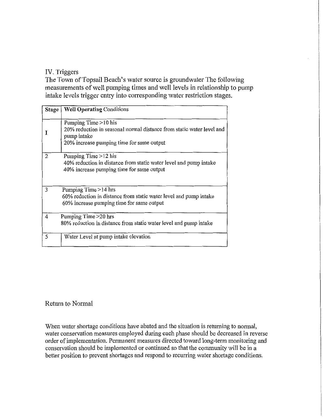# IV. Triggers

The Town of Topsail Beach's water source is groundwater The following measurements of well pumping times and well levels in relationship to pump intake levels trigger entry into corresponding water restriction stages.

| Stage | <b>Well Operating Conditions</b>                                                                                                                           |  |  |  |  |
|-------|------------------------------------------------------------------------------------------------------------------------------------------------------------|--|--|--|--|
|       | Pumping Time > 10 his<br>20% reduction in seasonal normal distance from static water level and<br>pump intake<br>20% increase pumping time for same output |  |  |  |  |
| 2     | Pumping Time >12 his<br>40% reduction in distance from static water level and pump intake<br>40% increase pumping time for same output                     |  |  |  |  |
| 3     | Pumping Time >14 hrs<br>60% reduction in distance from static water level and pump intake<br>60% increase pumping time for same output                     |  |  |  |  |
| 4     | Pumping Time > 20 hrs<br>80% reduction in distance from static water level and pump intake                                                                 |  |  |  |  |
| 5     | Water Level at pump intake elevation                                                                                                                       |  |  |  |  |

## Return to Normal

When water shortage conditions have abated and the situation is returning to normal, water conservation measures employed during each phase should be decreased in reverse order of implementation. Permanent measures directed toward long-term monitoring and conservation should be implemented or continued so that the community will be in a better position to prevent shortages and respond to recurring water shortage conditions.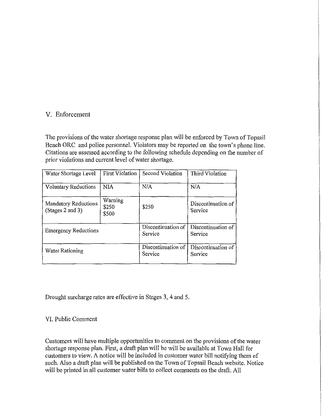## V. Enforcement

The provisions of the water shortage response plan will be enforced by Town of Topsail Beach ORC and police personnel. Violators may be reported on the town's phone line. Citations are assessed according to the following schedule depending on the number of prior violations and current level of water shortage.

| Water Shortage Level                            | <b>First Violation</b>    | Second Violation              | Third Violation               |
|-------------------------------------------------|---------------------------|-------------------------------|-------------------------------|
| <b>Voluntary Reductions</b>                     | <b>NIA</b>                | N/A                           | N/A                           |
| <b>Mandatory Reductions</b><br>(Stages 2 and 3) | Warning<br>\$250<br>\$500 | \$250                         | Discontinuation of<br>Service |
| <b>Emergency Reductions</b>                     |                           | Discontinuation of<br>Service | Discontinuation of<br>Service |
| Water Rationing                                 |                           | Discontinuation of<br>Service | Discontinuation of<br>Service |

Drought surcharge rates are effective in Stages 3, 4 and 5.

## VI. Public Comment

Customers will have multiple opportunities to comment on the provisions of the water shortage response plan. First, a draft plan will be will be available at Town Hall for customers to view. A notice will be included in customer water bill notifying them of such. Also a draft plan will be published on the Town of Topsail Beach website. Notice will be printed in all customer water bills to collect comments on the draft. All